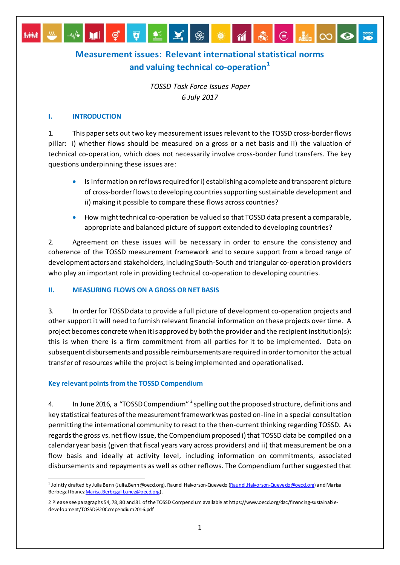# **Measurement issues: Relevant international statistical norms and valuing technical co-operation[1](#page-0-0)**

 $\mathbf{M}$ 

 $\epsilon$ 

▐▗▖▏▞▕▏▓▏

*TOSSD Task Force Issues Paper 6 July 2017*

#### **I. INTRODUCTION**

*MAN* 

ේ

1. This paper sets out two key measurement issues relevant to the TOSSD cross-border flows pillar: i) whether flows should be measured on a gross or a net basis and ii) the valuation of technical co-operation, which does not necessarily involve cross-border fund transfers. The key questions underpinning these issues are:

- Is information on reflows required for i) establishing a complete and transparent picture of cross-border flows to developing countries supporting sustainable development and ii) making it possible to compare these flows across countries?
- How might technical co-operation be valued so that TOSSD data present a comparable, appropriate and balanced picture of support extended to developing countries?

2. Agreement on these issues will be necessary in order to ensure the consistency and coherence of the TOSSD measurement framework and to secure support from a broad range of development actors and stakeholders, including South-South and triangular co-operation providers who play an important role in providing technical co-operation to developing countries.

## **II. MEASURING FLOWS ON A GROSS OR NET BASIS**

3. In order for TOSSD data to provide a full picture of development co-operation projects and other support it will need to furnish relevant financial information on these projects over time. A project becomes concrete when it is approved by both the provider and the recipient institution(s): this is when there is a firm commitment from all parties for it to be implemented. Data on subsequent disbursements and possible reimbursements are required in order to monitor the actual transfer of resources while the project is being implemented and operationalised.

## **Key relevant points from the TOSSD Compendium**

4. In June [2](#page-0-1)016, a "TOSSD Compendium" <sup>2</sup> spelling out the proposed structure, definitions and key statistical features of the measurement framework was posted on-line in a special consultation permitting the international community to react to the then-current thinking regarding TOSSD. As regards the gross vs. net flow issue, the Compendium proposed i) that TOSSD data be compiled on a calendar year basis (given that fiscal years vary across providers) and ii) that measurement be on a flow basis and ideally at activity level, including information on commitments, associated disbursements and repayments as well as other reflows. The Compendium further suggested that

<span id="page-0-0"></span><sup>&</sup>lt;sup>1</sup> Jointly drafted by Julia Benn (Julia.Benn@oecd.org), Raundi Halvorson-Queved[o \(Raundi.Halvorson-Quevedo@oecd.org](mailto:Raundi.Halvorson-Quevedo@oecd.org)) and Marisa Berbegal Ibanez [Marisa.Berbegalibanez@oecd.org\)](mailto:Marisa.Berbegalibanez@oecd.org) .

<span id="page-0-1"></span><sup>2</sup> Please see paragraphs 54, 78, 80 and 81 of the TOSSD Compendium available at https://www.oecd.org/dac/financing-sustainabledevelopment/TOSSD%20Compendium2016.pdf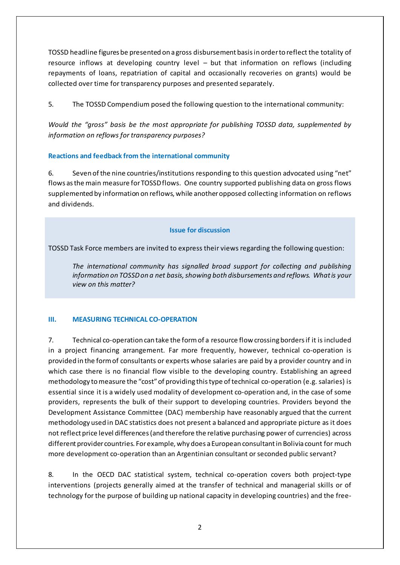TOSSD headline figures be presented on a gross disbursement basis in order to reflect the totality of resource inflows at developing country level – but that information on reflows (including repayments of loans, repatriation of capital and occasionally recoveries on grants) would be collected over time for transparency purposes and presented separately.

5. The TOSSD Compendium posed the following question to the international community:

*Would the "gross" basis be the most appropriate for publishing TOSSD data, supplemented by information on reflows for transparency purposes?*

### **Reactions and feedback from the international community**

6. Seven of the nine countries/institutions responding to this question advocated using "net" flows as the main measure for TOSSD flows. One country supported publishing data on gross flows supplemented by information on reflows, while another opposed collecting information on reflows and dividends.

#### **Issue for discussion**

TOSSD Task Force members are invited to express their views regarding the following question:

*The international community has signalled broad support for collecting and publishing information on TOSSD on a net basis, showing both disbursements and reflows. What is your view on this matter?* 

## **III. MEASURING TECHNICAL CO-OPERATION**

7. Technical co-operation can take the form of a resource flow crossing borders if it is included in a project financing arrangement. Far more frequently, however, technical co-operation is provided in the form of consultants or experts whose salaries are paid by a provider country and in which case there is no financial flow visible to the developing country. Establishing an agreed methodology to measure the "cost" of providing this type of technical co-operation (e.g. salaries) is essential since it is a widely used modality of development co-operation and, in the case of some providers, represents the bulk of their support to developing countries. Providers beyond the Development Assistance Committee (DAC) membership have reasonably argued that the current methodology used in DAC statistics does not present a balanced and appropriate picture as it does not reflect price level differences(and therefore the relative purchasing power of currencies) across different provider countries. For example, why does a European consultant in Bolivia count for much more development co-operation than an Argentinian consultant or seconded public servant?

8. In the OECD DAC statistical system, technical co-operation covers both project-type interventions (projects generally aimed at the transfer of technical and managerial skills or of technology for the purpose of building up national capacity in developing countries) and the free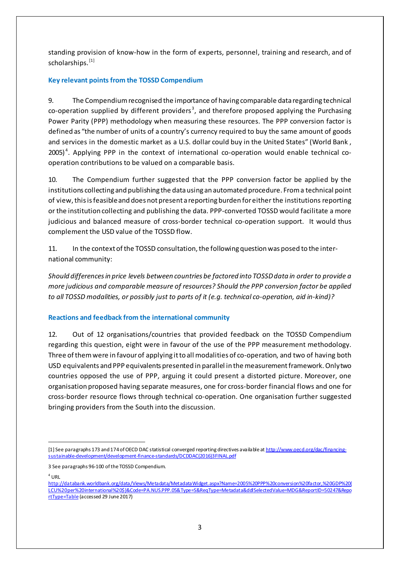standing provision of know-how in the form of experts, personnel, training and research, and of scholarships.<sup>[\[1\]](#page-2-0)</sup>

## **Key relevant points from the TOSSD Compendium**

9. The Compendium recognised the importance of having comparable data regarding technical  $co$ -operation supplied by different providers<sup>[3](#page-2-1)</sup>, and therefore proposed applying the Purchasing Power Parity (PPP) methodology when measuring these resources. The PPP conversion factor is defined as "the number of units of a country's currency required to buy the same amount of goods and services in the domestic market as a U.S. dollar could buy in the United States" (World Bank,  $2005$ <sup>[4](#page-2-2)</sup>. Applying PPP in the context of international co-operation would enable technical cooperation contributions to be valued on a comparable basis.

10. The Compendium further suggested that the PPP conversion factor be applied by the institutions collecting and publishing the data using an automated procedure. From a technical point of view,thisisfeasible and does not present a reporting burden for either the institutions reporting or the institution collecting and publishing the data. PPP-converted TOSSD would facilitate a more judicious and balanced measure of cross-border technical co-operation support. It would thus complement the USD value of the TOSSD flow.

11. In the context of the TOSSD consultation, the following question was posed to the international community:

*Should differences in price levels between countries be factored into TOSSD data in order to provide a more judicious and comparable measure of resources? Should the PPP conversion factor be applied to all TOSSD modalities, or possibly just to parts of it (e.g. technical co-operation, aid in-kind)?*

## **Reactions and feedback from the international community**

12. Out of 12 organisations/countries that provided feedback on the TOSSD Compendium regarding this question, eight were in favour of the use of the PPP measurement methodology. Three of them were in favour of applying it to all modalities of co-operation, and two of having both USD equivalents and PPP equivalents presented in parallel in the measurement framework.Only two countries opposed the use of PPP, arguing it could present a distorted picture. Moreover, one organisation proposed having separate measures, one for cross-border financial flows and one for cross-border resource flows through technical co-operation. One organisation further suggested bringing providers from the South into the discussion.

<span id="page-2-2"></span> $4$  URL

1

<span id="page-2-0"></span><sup>[1]</sup> See paragraphs 173 and 174 of OECD DAC statistical converged reporting directives available a[t http://www.oecd.org/dac/financing](http://www.oecd.org/dac/financing-sustainable-development/development-finance-standards/DCDDAC(2016)3FINAL.pdf)[sustainable-development/development-finance-standards/DCDDAC\(2016\)3FINAL.pdf](http://www.oecd.org/dac/financing-sustainable-development/development-finance-standards/DCDDAC(2016)3FINAL.pdf)

<span id="page-2-1"></span><sup>3</sup> See paragraphs 96-100 of the TOSSD Compendium.

[http://databank.worldbank.org/data/Views/Metadata/MetadataWidget.aspx?Name=2005%20PPP%20conversion%20factor,%20GDP%20\(](http://databank.worldbank.org/data/Views/Metadata/MetadataWidget.aspx?Name=2005%20PPP%20conversion%20factor,%20GDP%20(LCU%20per%20international%20$)&Code=PA.NUS.PPP.05&Type=S&ReqType=Metadata&ddlSelectedValue=MDG&ReportID=50247&ReportType=Table%20) [LCU%20per%20international%20\\$\)&Code=PA.NUS.PPP.05&Type=S&ReqType=Metadata&ddlSelectedValue=MDG&ReportID=50247&Repo](http://databank.worldbank.org/data/Views/Metadata/MetadataWidget.aspx?Name=2005%20PPP%20conversion%20factor,%20GDP%20(LCU%20per%20international%20$)&Code=PA.NUS.PPP.05&Type=S&ReqType=Metadata&ddlSelectedValue=MDG&ReportID=50247&ReportType=Table%20) [rtType=Table](http://databank.worldbank.org/data/Views/Metadata/MetadataWidget.aspx?Name=2005%20PPP%20conversion%20factor,%20GDP%20(LCU%20per%20international%20$)&Code=PA.NUS.PPP.05&Type=S&ReqType=Metadata&ddlSelectedValue=MDG&ReportID=50247&ReportType=Table%20) (accessed 29 June 2017)